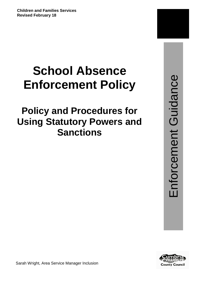# **School Absence Enforcement Policy**

## **Policy and Procedures for Using Statutory Powers and Sanctions**

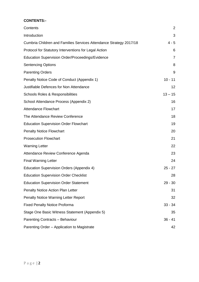## **CONTENTS:-**

| Contents                                                           | $\overline{2}$ |
|--------------------------------------------------------------------|----------------|
| Introduction                                                       | 3              |
| Cumbria Children and Families Services Attendance Strategy 2017/18 | $4 - 5$        |
| Protocol for Statutory Interventions for Legal Action              | 6              |
| Education Supervision Order/Proceedings/Evidence                   | $\overline{7}$ |
| <b>Sentencing Options</b>                                          | 8              |
| <b>Parenting Orders</b>                                            | 9              |
| Penalty Notice Code of Conduct (Appendix 1)                        | $10 - 11$      |
| Justifiable Defences for Non Attendance                            | 12             |
| <b>Schools Roles &amp; Responsibilities</b>                        | $13 - 15$      |
| School Attendance Process (Appendix 2)                             | 16             |
| <b>Attendance Flowchart</b>                                        | 17             |
| The Attendance Review Conference                                   | 18             |
| <b>Education Supervision Order Flowchart</b>                       | 19             |
| <b>Penalty Notice Flowchart</b>                                    | 20             |
| <b>Prosecution Flowchart</b>                                       | 21             |
| <b>Warning Letter</b>                                              | 22             |
| Attendance Review Conference Agenda                                | 23             |
| <b>Final Warning Letter</b>                                        | 24             |
| Education Supervision Orders (Appendix 4)                          | $25 - 27$      |
| <b>Education Supervision Order Checklist</b>                       | 28             |
| <b>Education Supervision Order Statement</b>                       | $29 - 30$      |
| Penalty Notice Action Plan Letter                                  | 31             |
| Penalty Notice Warning Letter Report                               | 32             |
| <b>Fixed Penalty Notice Proforma</b>                               | $33 - 34$      |
| Stage One Basic Witness Statement (Appendix 5)                     | 35             |
| Parenting Contracts - Behaviour                                    | $36 - 41$      |
| Parenting Order - Application to Magistrate                        | 42             |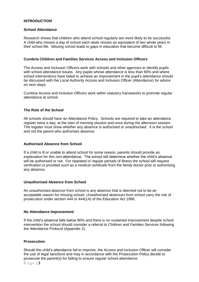#### **INTRODUCTION**

#### **School Attendance**

Research shows that children who attend school regularly are more likely to be successful. A child who misses a day of school each week misses an equivalent of two whole years in their school life. Missing school leads to gaps in education that become difficult to fill.

#### **Cumbria Children and Families Services Access and Inclusion Officers**

The Access and Inclusion Officers work with schools and other agencies to identify pupils with school attendance issues. Any pupils whose attendance is less than 90% and where school interventions have failed to achieve an improvement in the pupil's attendance should be discussed with the Local Authority Access and Inclusion Officer (Attendance) for advice on next steps.

Cumbria Access and Inclusion Officers work within statutory frameworks to promote regular attendance at school.

#### **The Role of the School**

All schools should have an Attendance Policy. Schools are required to take an attendance register twice a day, at the start of morning session and once during the afternoon session. The register must show whether any absence is authorised or unauthorised. It is the school and not the parent who authorises absence.

#### **Authorised Absence from School**

If a child is ill or unable to attend school for some reason, parents should provide an explanation for this non-attendance. The school will determine whether the child's absence will be authorised or not. For repeated or regular periods of illness the school will request verification is provided such as a medical certificate from the family doctor prior to authorising any absence.

#### **Unauthorised Absence from School**

An unauthorised absence from school is any absence that is deemed not to be an acceptable reason for missing school. Unauthorised absences from school carry the risk of prosecution under section 444 or 444(1A) of the Education Act 1996.

#### **No Attendance Improvement**

If the child's absence falls below 90% and there is no sustained improvement despite school intervention the school should consider a referral to Children and Families Services following the Attendance Protocol (Appendix 2).

#### **Prosecution**

Should the child's attendance fail to improve, the Access and Inclusion Officer will consider the use of legal sanctions and may in accordance with the Prosecution Policy decide to prosecute the parent(s) for failing to ensure regular school attendance.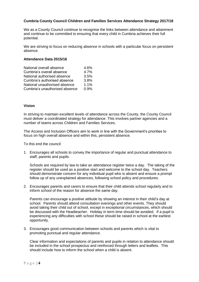#### **Cumbria County Council Children and Families Services Attendance Strategy 2017/18**

We as a County Council continue to recognise the links between attendance and attainment and continue to be committed to ensuring that every child in Cumbria achieves their full potential.

We are striving to focus on reducing absence in schools with a particular focus on persistent absence.

#### **Attendance Data 2015/16**

| National overall absence       | 4.6%    |
|--------------------------------|---------|
| Cumbria's overall absence      | 4.7%    |
| National authorised absence    | 3.5%    |
| Cumbria's authorised absence   | 3.8%    |
| National unauthorised absence  | 1.1%    |
| Cumbria's unauthorised absence | $0.9\%$ |

#### **Vision**

In striving to maintain excellent levels of attendance across the County, the County Council must deliver a coordinated strategy for attendance. This involves partner agencies and a number of teams across Children and Families Services.

The Access and Inclusion Officers aim to work in line with the Government's priorities to focus on high overall absence and within this, persistent absence.

To this end the council:

1. Encourages all schools to convey the importance of regular and punctual attendance to staff, parents and pupils.

Schools are required by law to take an attendance register twice a day. The taking of the register should be used as a positive start and welcome to the school day. Teachers should demonstrate concern for any individual pupil who is absent and ensure a prompt follow up of any unexplained absences, following school policy and procedures.

2. Encourages parents and carers to ensure that their child attends school regularly and to inform school of the reason for absence the same day.

Parents can encourage a positive attitude by showing an interest in their child's day at school. Parents should attend consultation evenings and other events. They should avoid taking their child out of school, except in exceptional circumstances, which should be discussed with the Headteacher. Holiday in term time should be avoided. If a pupil is experiencing any difficulties with school these should be raised in school at the earliest opportunity.

3. Encourages good communication between schools and parents which is vital to promoting punctual and regular attendance.

Clear information and expectations of parents and pupils in relation to attendance should be included in the school prospectus and reinforced through letters and leaflets. This should include how to inform the school when a child is absent.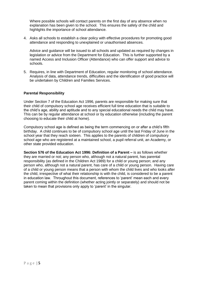Where possible schools will contact parents on the first day of any absence when no explanation has been given to the school. This ensures the safety of the child and highlights the importance of school attendance.

4. Asks all schools to establish a clear policy with effective procedures for promoting good attendance and responding to unexplained or unauthorised absences.

Advice and guidance will be issued to all schools and updated as required by changes in legislation or advice from the Department for Education. This is further supported by a named Access and Inclusion Officer (Attendance) who can offer support and advice to schools.

5. Requires, in line with Department of Education, regular monitoring of school attendance. Analysis of data, attendance trends, difficulties and the identification of good practice will be undertaken by Children and Families Services.

#### **Parental Responsibility**

Under Section 7 of the Education Act 1996, parents are responsible for making sure that their child of compulsory school age receives efficient full time education that is suitable to the child's age, ability and aptitude and to any special educational needs the child may have. This can be by regular attendance at school or by education otherwise (including the parent choosing to educate their child at home).

Compulsory school age is defined as being the term commencing on or after a child's fifth birthday. A child continues to be of compulsory school age until the last Friday of June in the school year that they reach sixteen. This applies to the parents of children of compulsory school age who are registered at a maintained school, a pupil referral unit, an Academy, or other state provided education.

**Section 576 of the Education Act 1996: Definition of a Parent –** is as follows whether they are married or not; any person who, although not a natural parent, has parental responsibility (as defined in the Children Act 1989) for a child or young person; and any person who, although not a natural parent, has care of a child or young person. Having care of a child or young person means that a person with whom the child lives and who looks after the child, irrespective of what their relationship is with the child, is considered to be a parent in education law. Throughout this document, references to 'parent' mean each and every parent coming within the definition (whether acting jointly or separately) and should not be taken to mean that provisions only apply to 'parent' in the singular.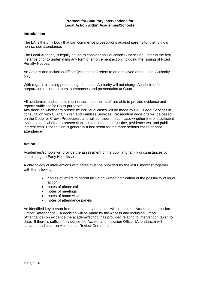#### **Protocol for Statutory Interventions for Legal Action within Academies/Schools**

#### **Introduction**

The LA is the only body that can commence prosecutions against parents for their child's non-school attendance.

The Local Authority is legally bound to consider an Education Supervision Order in the first instance prior to undertaking any form of enforcement action including the issuing of Fixed Penalty Notices.

An Access and Inclusion Officer (Attendance) refers to an employee of the Local Authority only.

With regard to issuing proceedings the Local Authority will not charge Academies for preparation of court papers, summonses and presentation at Court.

All academies and schools must ensure that their staff are able to provide evidence and reports sufficient for Court purposes.

Any decision whether to prosecute individual cases will be made by CCC Legal Services in consultation with CCC Children and Families Services. Prosecution decisions will be based on the Code for Crown Prosecutors and will consider in each case whether there is sufficient evidence and whether a prosecution is in the interests of justice, (evidence test and public interest test). Prosecution is generally a last resort for the more serious cases of poor attendance

#### **Action**

Academies/schools will provide the assessment of the pupil and family circumstances by completing an Early Help Assessment.

A chronology of interventions with dates must be provided for the last 6 months\* together with the following:

- copies of letters to parent including written notification of the possibility of legal action
- notes of phone calls
- notes of meetings
- notes of home visits
- notes of attendance panels

An identified key person from the academy or school will contact the Access and Inclusion Officer (Attendance). A decision will be made by the Access and Inclusion Officer (Attendance) on evidence the academy/school has provided relating to intervention taken to date. If there is sufficient evidence the Access and Inclusion Officer (Attendance) will convene and chair an Attendance Review Conference.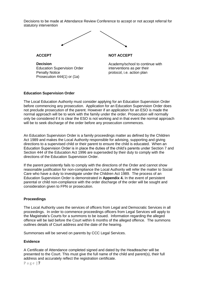Decisions to be made at Attendance Review Conference to accept or not accept referral for statutory intervention



**ACCEPT**

**Decision** Education Supervision Order Penalty Notice Prosecution 444(1) or (1a)

**NOT ACCEPT**

Academy/school to continue with interventions as per their protocol, i.e. action plan

## **Education Supervision Order**

The Local Education Authority must consider applying for an Education Supervision Order before commencing any prosecution. Application for an Education Supervision Order does not preclude prosecution of the parent. However if an application for an ESO is made the normal approach will be to work with the family under the order. Prosecution will normally only be considered if it is clear the ESO is not working and in that event the normal approach will be to seek discharge of the order before any prosecution commences.

An Education Supervision Order is a family proceedings matter as defined by the Children Act 1989 and makes the Local Authority responsible for advising, supporting and giving directions to a supervised child or their parent to ensure the child is educated. When an Education Supervision Order is in place the duties of the child's parents under Section 7 and Section 444 of the Education Act 1996 are superseded by their duty to comply with the directions of the Education Supervision Order.

If the parent persistently fails to comply with the directions of the Order and cannot show reasonable justification for non-compliance the Local Authority will refer the matter to Social Care who have a duty to investigate under the Children Act 1989. The process of an Education Supervision Order is demonstrated in **Appendix 4.** In the event of persistent parental or child non-compliance with the order discharge of the order will be sought and consideration given to FPN or prosecution.

#### **Proceedings**

The Local Authority uses the services of officers from Legal and Democratic Services in all proceedings. In order to commence proceedings officers from Legal Services will apply to the Magistrate's Courts for a summons to be issued. Information regarding the alleged offence will be laid before the Court within 6 months of the alleged offence. The summons outlines details of Court address and the date of the hearing.

Summonses will be served on parents by CCC Legal Services.

#### **Evidence**

A Certificate of Attendance completed signed and dated by the Headteacher will be presented to the Court. This must give the full name of the child and parent(s), their full address and accurately reflect the registration certificate.

P a g e | **7**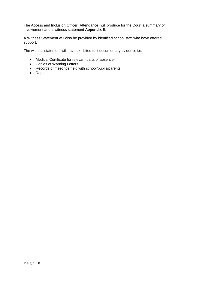The Access and Inclusion Officer (Attendance) will produce for the Court a summary of involvement and a witness statement **Appendix 5**.

A Witness Statement will also be provided by identified school staff who have offered support.

The witness statement will have exhibited to it documentary evidence i.e.

- Medical Certificate for relevant parts of absence
- Copies of Warning Letters
- Records of meetings held with school/pupils/parents
- Report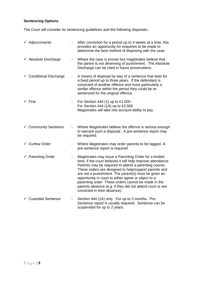## **Sentencing Options**

The Court will consider its sentencing guidelines and the following disposals:-

| $\checkmark$ Adjournments       |    | After conviction for a period up to 4 weeks at a time, this<br>provides an opportunity for enquiries to be made to<br>determine the best method of disposing with the case.                                                                                                                                                                                                                                                                                                                                |
|---------------------------------|----|------------------------------------------------------------------------------------------------------------------------------------------------------------------------------------------------------------------------------------------------------------------------------------------------------------------------------------------------------------------------------------------------------------------------------------------------------------------------------------------------------------|
| $\checkmark$ Absolute Discharge |    | Where the case is proven but magistrates believe that<br>the parent is not deserving of punishment. The Absolute<br>Discharge can be cited in future prosecutions.                                                                                                                                                                                                                                                                                                                                         |
| ← Conditional Discharge         | Ξ. | A means of disposal by way of a sentence that lasts for<br>a fixed period up to three years. If the defendant is<br>convicted of another offence and more particularly a<br>similar offence within the period they could be re-<br>sentenced for the original offence.                                                                                                                                                                                                                                     |
| $\checkmark$ Fine               |    | For Section 444 (1) up to £1,000<br>For Section 444 (1A) up to £2,500<br>Magistrates will take into account ability to pay.                                                                                                                                                                                                                                                                                                                                                                                |
| $\checkmark$ Community Sentence |    | Where Magistrates believe the offence is serious enough<br>to warrant such a disposal. A pre-sentence report may<br>be required.                                                                                                                                                                                                                                                                                                                                                                           |
| $\checkmark$ Curfew Order       |    | Where Magistrates may order parents to be tagged. A<br>pre-sentence report is required                                                                                                                                                                                                                                                                                                                                                                                                                     |
| $\checkmark$ Parenting Order    |    | Magistrates may issue a Parenting Order for a limited<br>time, if the court believes it will help improve attendance.<br>Parents may be required to attend a parenting course.<br>These orders are designed to help/support parents and<br>are not a punishment. The parent(s) must be given an<br>opportunity in court to either agree or object to a<br>parenting order. These orders cannot be made in the<br>parents absence (e.g. if they did not attend court or are<br>convicted in their absence). |
| ← Custodial Sentence            |    | Section 444 (1A) only. For up to 3 months. Pre-<br>Sentence report is usually required. Sentence can be<br>suspended for up to 2 years.                                                                                                                                                                                                                                                                                                                                                                    |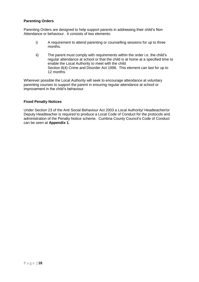#### **Parenting Orders**

Parenting Orders are designed to help support parents in addressing their child's Non Attendance or behaviour. It consists of two elements:

- i) A requirement to attend parenting or counselling sessions for up to three months.
- ii) The parent must comply with requirements within the order i.e. the child's regular attendance at school or that the child is at home at a specified time to enable the Local Authority to meet with the child Section 8(4) Crime and Disorder Act 1998. This element can last for up to 12 months.

Wherever possible the Local Authority will seek to encourage attendance at voluntary parenting courses to support the parent in ensuring regular attendance at school or improvement in the child's behaviour.

#### **Fixed Penalty Notices**

Under Section 23 of the Anti Social Behaviour Act 2003 a Local Authority/ Headteacher/or Deputy Headteacher is required to produce a Local Code of Conduct for the protocols and administration of the Penalty Notice scheme. Cumbria County Council's Code of Conduct can be seen at **Appendix 1**.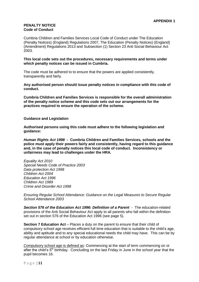#### **PENALTY NOTICE Code of Conduct**

Cumbria Children and Families Services Local Code of Conduct under The Education (Penalty Notices) (England) Regulations 2007, The Education (Penalty Notices) (England) (Amendment) Regulations 2013 and Subsection (1) Section 23 Anti Social Behaviour Act 2003.

**This local code sets out the procedures, necessary requirements and terms under which penalty notices can be issued in Cumbria.**

The code must be adhered to to ensure that the powers are applied consistently, transparently and fairly.

**Any authorised person should issue penalty notices in compliance with this code of conduct.**

**Cumbria Children and Families Services is responsible for the overall administration of the penalty notice scheme and this code sets out our arrangements for the practices required to ensure the operation of the scheme.**

**Guidance and Legislation**

**Authorised persons using this code must adhere to the following legislation and guidance:**

*Human Rights Act 1998* **- Cumbria Children and Families Services, schools and the police must apply their powers fairly and consistently, having regard to this guidance and, in the case of penalty notices this local code of conduct. Inconsistency or unfairness may lead to challenges under the HRA.**

*Equality Act 2010 Special Needs Code of Practice 2003 Data protection Act 1998 Children Act 2004 Education Act 1996 Children Act 1989 Crime and Disorder Act 1998*

*Ensuring Regular School Attendance: Guidance on the Legal Measures to Secure Regular School Attendance 2003*

*Section 576 of the Education Act 1996: Definition of a Parent* - The education-related provisions of the Anti Social Behaviour Act apply to all parents who fall within the definition set out in section 576 of the Education Act 1996 (see page 5).

**Section 7 Education Act** – Places a duty on the parent to ensure that their child of compulsory school age receives efficient full time education that is suitable to the child's age, ability and aptitude and to any special educational needs the child may have. This can be by regular attendance at school or by education otherwise.

Compulsory school age is defined as: Commencing at the start of term commencing on or after the child's 5<sup>th</sup> birthday. Concluding on the last Friday in June in the school year that the pupil becomes 16.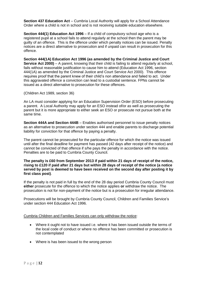**Section 437 Education Act** – Cumbria Local Authority will apply for a School Attendance Order where a child is not in school and is not receiving suitable education elsewhere.

**Section 444(1) Education Act 1996** – If a child of compulsory school age who is a registered pupil at a school fails to attend regularly at the school then the parent may be guilty of an offence. This is the offence under which penalty notices can be issued. Penalty notices are a direct alternative to prosecution and if unpaid can result in prosecution for this offence.

**Section 444(1A) Education Act 1996 (as amended by the Criminal Justice and Court Service Act 2000)** – A parent, knowing that their child is failing to attend regularly at school, fails without reasonable justification to cause him to attend (Education Act 1996, section 444(1A) as amended by the Criminal Justice and Court Service Act 2000). This offence requires proof that the parent knew of their child's non attendance and failed to act. Under this aggravated offence a conviction can lead to a custodial sentence. FPNs cannot be issued as a direct alternative to prosecution for these offences.

(Children Act 1989, section 36)

An LA must consider applying for an Education Supervision Order (ESO) before prosecuting a parent. A Local Authority may apply for an ESO instead of/or as well as prosecuting the parent but it is more appropriate to either seek an ESO or prosecute not pursue both at the same time.

**Section 444A and Section 444B** – Enables authorised personnel to issue penalty notices as an alternative to prosecution under section 444 and enable parents to discharge potential liability for conviction for that offence by paying a penalty.

The parent cannot be prosecuted for the particular offence for which the notice was issued until after the final deadline for payment has passed (42 days after receipt of the notice) and cannot be convicted of that offence if s/he pays the penalty in accordance with the notice. Penalties are to be paid to Cumbria County Council.

#### **The penalty is £60 from September 2013 if paid within 21 days of receipt of the notice, rising to £120 if paid after 21 days but within 28 days of receipt of the notice (a notice served by post is deemed to have been received on the second day after posting it by first class post)**.

If the penalty is not paid in full by the end of the 28 day period Cumbria County Council must **either** prosecute for the offence to which the notice applies **or** withdraw the notice. The prosecution is not for non-payment of the notice but is a prosecution for irregular attendance.

Prosecutions will be brought by Cumbria County Council, Children and Families Service's under section 444 Education Act 1996.

#### Cumbria Children and Families Services can only withdraw the notice:

- Where it ought not to have issued i.e. where it has been issued outside the terms of the local code of conduct or where no offence has been committed or prosecution is not contemplated
- Where is has been issued to the wrong person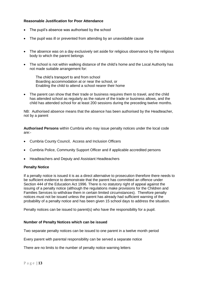#### **Reasonable Justification for Poor Attendance**

- The pupil's absence was authorised by the school
- The pupil was ill or prevented from attending by an unavoidable cause
- The absence was on a day exclusively set aside for religious observance by the religious body to which the parent belongs
- The school is not within walking distance of the child's home and the Local Authority has not made suitable arrangement for:

The child's transport to and from school Boarding accommodation at or near the school, or Enabling the child to attend a school nearer their home

 The parent can show that their trade or business requires them to travel, and the child has attended school as regularly as the nature of the trade or business allows, and the child has attended school for at least 200 sessions during the preceding twelve months.

NB: Authorised absence means that the absence has been authorised by the Headteacher, not by a parent

**Authorised Persons** within Cumbria who may issue penalty notices under the local code are:-

- Cumbria County Council, Access and Inclusion Officers
- Cumbria Police, Community Support Officer and if applicable accredited persons
- Headteachers and Deputy and Assistant Headteachers

#### **Penalty Notice**

If a penalty notice is issued it is as a direct alternative to prosecution therefore there needs to be sufficient evidence to demonstrate that the parent has committed an offence under Section 444 of the Education Act 1996. There is no statutory right of appeal against the issuing of a penalty notice (although the regulations make provisions for the Children and Families Services to withdraw them in certain limited circumstances). Therefore penalty notices must not be issued unless the parent has already had sufficient warning of the probability of a penalty notice and has been given 15 school days to address the situation.

Penalty notices can be issued to parent(s) who have the responsibility for a pupil.

#### **Number of Penalty Notices which can be issued**

Two separate penalty notices can be issued to one parent in a twelve month period

Every parent with parental responsibility can be served a separate notice

There are no limits to the number of penalty notice warning letters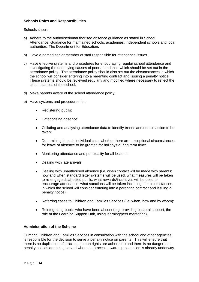#### **Schools Roles and Responsibilities**

Schools should:

- a) Adhere to the authorised/unauthorised absence guidance as stated in School Attendance: Guidance for maintained schools, academies, independent schools and local authorities: The Department for Education.
- b) Have a named senior member of staff responsible for attendance issues.
- c) Have effective systems and procedures for encouraging regular school attendance and investigating the underlying causes of poor attendance which should be set out in the attendance policy. The attendance policy should also set out the circumstances in which the school will consider entering into a parenting contract and issuing a penalty notice. These systems should be reviewed regularly and modified where necessary to reflect the circumstances of the school.
- d) Make parents aware of the school attendance policy.
- e) Have systems and procedures for:-
	- Registering pupils:
	- Categorising absence:
	- Collating and analysing attendance data to identify trends and enable action to be taken:
	- Determining in each individual case whether there are exceptional circumstances for leave of absence to be granted for holidays during term time:
	- Monitoring attendance and punctuality for all lessons:
	- Dealing with late arrivals:
	- Dealing with unauthorised absence (i.e. when contact will be made with parents; how and when standard letter systems will be used, what measures will be taken to re-engage disaffected pupils, what rewards/incentives will be used to encourage attendance, what sanctions will be taken including the circumstances in which the school will consider entering into a parenting contract and issuing a penalty notice):
	- Referring cases to Children and Families Services (i.e. when, how and by whom):
	- Reintegrating pupils who have been absent (e.g. providing pastoral support, the role of the Learning Support Unit, using learning/peer mentoring).

#### **Administration of the Scheme**

Cumbria Children and Families Services in consultation with the school and other agencies, is responsible for the decision to serve a penalty notice on parents. This will ensure that there is no duplication of practice, human rights are adhered to and there is no danger that penalty notices are being served when the process towards prosecution is already underway.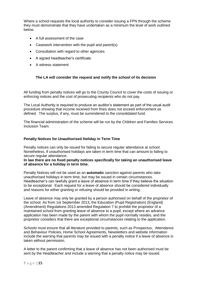Where a school requests the local authority to consider issuing a FPN through the scheme they must demonstrate that they have undertaken as a minimum the level of work outlined below.

- A full assessment of the case
- Casework intervention with the pupil and parent(s)
- Consultation with regard to other agencies
- A signed headteacher's certificate
- A witness statement

## **The LA will consider the request and notify the school of its decision**

All funding from penalty notices will go to the County Council to cover the costs of issuing or enforcing notices and the cost of prosecuting recipients who do not pay.

The Local Authority is required to produce an auditor's statement as part of the usual audit procedure showing that income received from fines does not exceed enforcement as defined. The surplus, if any, must be surrendered to the consolidated fund.

The financial administration of the scheme will be run by the Children and Families Services Inclusion Team.

#### **Penalty Notices for Unauthorised Holiday in Term Time**

Penalty notices can only be issued for failing to secure regular attendance at school. Nonetheless, if unauthorised holidays are taken in term time that can amount to failing to secure regular attendance.

**In law there are no fixed penalty notices specifically for taking an unauthorised leave of absence for a holiday in term time.**

Penalty Notices will not be used as an **automatic** sanction against parents who take unauthorised holidays in term time, but may be issued in certain circumstances. Headteacher's can lawfully grant a leave of absence in term time if they believe the situation to be exceptional. Each request for a leave of absence should be considered individually and reasons for either granting or refusing should be provided in writing.

Leave of absence may only be granted by a person authorised on behalf of the proprietor of the school. As from 1st September 2013, the Education (Pupil Registration) (England) (Amendment) Regulations 2013 amended Regulation 7 to prohibit the proprietor of a maintained school from granting leave of absence to a pupil, except where an advance application has been made by the parent with whom the pupil normally resides, and the proprietor considers that there are exceptional circumstances relating to the application.

Schools must ensure that all literature provided to parents, such as Prospectus, Attendance and Behaviour Policies, Home School Agreements, Newsletters and website information include the warning that parents may be issued with a penalty notice if a leave of absence is taken without permission.

A letter to the parent confirming that a leave of absence has not been authorised must be sent by the Headteacher and include a warning that a penalty notice may be issued.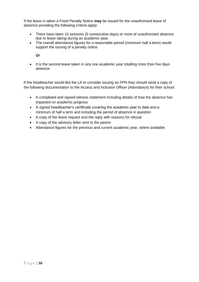If the leave is taken a Fixed Penalty Notice **may** be issued for the unauthorised leave of absence providing the following criteria apply:

- There have been 10 sessions (5 consecutive days) or more of unauthorised absence due to leave taking during an academic year.
- The overall attendance figures for a reasonable period (minimum half a term) would support the issuing of a penalty notice

**Or**

• It is the second leave taken in any one academic year totalling more than five days absence

If the headteacher would like the LA to consider issuing an FPN they should send a copy of the following documentation to the Access and Inclusion Officer (Attendance) for their school:

- A completed and signed witness statement including details of how the absence has impacted on academic progress
- A signed headteacher's certificate covering the academic year to date and a minimum of half a term and including the period of absence in question
- A copy of the leave request and the reply with reasons for refusal
- A copy of the advisory letter sent to the parent
- Attendance figures for the previous and current academic year, where available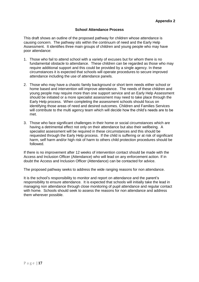#### **School Attendance Process**

This draft shows an outline of the proposed pathway for children whose attendance is causing concern. The pathway sits within the continuum of need and the Early Help Assessment. It identifies three main groups of children and young people who may have poor attendance:

- 1. Those who fail to attend school with a variety of excuses but for whom there is no fundamental obstacle to attendance. These children can be regarded as those who may require additional support and this could be provided by a single agency. In these circumstances it is expected that schools will operate procedures to secure improved attendance including the use of attendance panels.
- 2. Those who may have a chaotic family background or short term needs either school or home based and intervention will improve attendance. The needs of these children and young people may require more than one support service and an Early Help Assessment should be initiated or a more specialist assessment may need to take place through the Early Help process. When completing the assessment schools should focus on identifying those areas of need and desired outcomes. Children and Families Services will contribute to the multi agency team which will decide how the child's needs are to be met.
- 3. Those who face significant challenges in their home or social circumstances which are having a detrimental effect not only on their attendance but also their wellbeing. A specialist assessment will be required in these circumstances and this should be requested through the Early Help process. If the child is suffering or at risk of significant harm, self harm and/or high risk of harm to others child protection procedures should be followed.

If there is no improvement after 12 weeks of intervention contact should be made with the Access and Inclusion Officer (Attendance) who will lead on any enforcement action. If in doubt the Access and Inclusion Officer (Attendance) can be contacted for advice.

The proposed pathway seeks to address the wide ranging reasons for non attendance.

It is the school's responsibility to monitor and report on attendance and the parent's responsibility to ensure attendance. It is expected that schools will initially take the lead in managing non attendance through close monitoring of pupil attendance and regular contact with home. Schools should seek to assess the reasons for non attendance and address them wherever possible.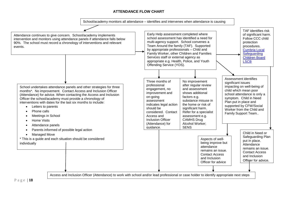## **ATTENDANCE FLOW CHART**

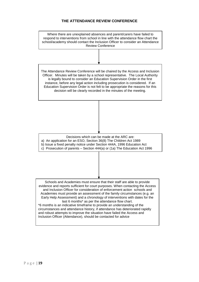## **THE ATTENDANCE REVIEW CONFERENCE**

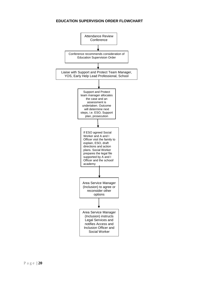## **EDUCATION SUPERVISION ORDER FLOWCHART**

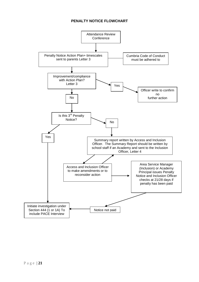## **PENALTY NOTICE FLOWCHART**

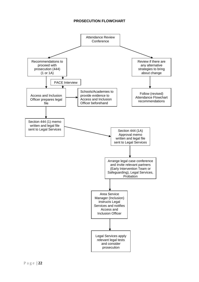## **PROSECUTION FLOWCHART**

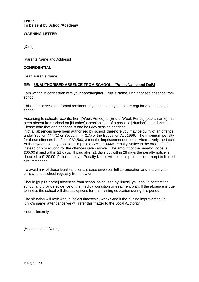**Letter 1 To be sent by School/Academy**

## **WARNING LETTER**

[Date]

[Parents Name and Address]

#### **CONFIDENTIAL**

Dear [Parents Name]

#### **RE: UNAUTHORISED ABSENCE FROM SCHOOL [Pupils Name and DoB]**

I am writing in connection with your son/daughter, [Pupils Name] unauthorised absence from school.

This letter serves as a formal reminder of your legal duty to ensure regular attendance at school.

According to schools records, from [Week Period] to {End of Week Period] [pupils name] has been absent from school on [Number] occasions out of a possible [Number] attendances. Please note that one absence is one half day session at school.

Not all absences have been authorised by school therefore you may be guilty of an offence under Section 444 (1) or Section 444 (1A) of the Education Act 1996. The maximum penalty for these offences is a fine of £2,500, 3 months imprisonment or both. Alternatively the Local Authority/School may choose to impose a Section 444A Penalty Notice in the order of a fine instead of prosecuting for the offences given above. The amount of the penalty notice is £60.00 if paid within 21 days. If paid after 21 days but within 28 days the penalty notice is doubled to £120.00. Failure to pay a Penalty Notice will result in prosecution except in limited circumstances.

To avoid any of these legal sanctions, please give your full co-operation and ensure your child attends school regularly from now on.

Should [pupil's name] absences from school be caused by illness, you should contact the school and provide evidence of the medical condition or treatment plan. If the absence is due to illness the school will discuss options for maintaining education during this period.

The situation will reviewed in [select timescale] weeks and if there is no improvement in [child's name] attendance we will refer this matter to the Local Authority..

Yours sincerely

[Headteachers Name]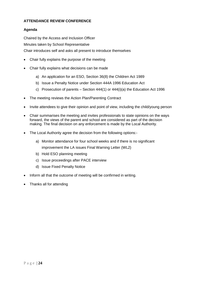## **ATTENDANCE REVIEW CONFERENCE**

## **Agenda**

Chaired by the Access and Inclusion Officer Minutes taken by School Representative Chair introduces self and asks all present to introduce themselves

- Chair fully explains the purpose of the meeting
- Chair fully explains what decisions can be made
	- a) An application for an ESO, Section 36(8) the Children Act 1989
	- b) Issue a Penalty Notice under Section 444A 1996 Education Act
	- c) Prosecution of parents Section 444(1) or 444(i)(a) the Education Act 1996
- The meeting reviews the Action Plan/Parenting Contract
- Invite attendees to give their opinion and point of view, including the child/young person
- Chair summarises the meeting and invites professionals to state opinions on the ways forward, the views of the parent and school are considered as part of the decision making. The final decision on any enforcement is made by the Local Authority.
- The Local Authority agree the decision from the following options:
	- a) Monitor attendance for four school weeks and if there is no significant improvement the LA issues Final Warning Letter (WL2)
	- b) Hold ESO planning meeting
	- c) Issue proceedings after PACE interview
	- d) Issue Fixed Penalty Notice
- Inform all that the outcome of meeting will be confirmed in writing.
- Thanks all for attending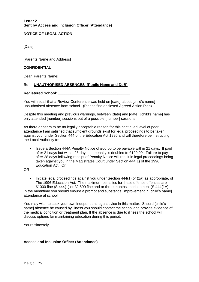**Letter 2 Sent by Access and Inclusion Officer (Attendance)**

#### **NOTICE OF LEGAL ACTION**

[Date]

[Parents Name and Address]

#### **CONFIDENTIAL**

Dear [Parents Name]

## **Re: UNAUTHORISED ABSENCES [Pupils Name and DoB]**

#### Registered School: **We are also asset to a set of the set of the set of the set of the set of the set of the set of the set of the set of the set of the set of the set of the set of the set of the set of the set of the set**

You will recall that a Review Conference was held on [date], about [child's name] unauthorised absence from school. (Please find enclosed Agreed Action Plan)

Despite this meeting and previous warnings, between [date] and [date], [child's name] has only attended [number] sessions out of a possible [number] sessions.

As there appears to be no legally acceptable reason for this continued level of poor attendance I am satisfied that sufficient grounds exist for legal proceedings to be taken against you, under Section 444 of the Education Act 1996 and will therefore be instructing the Local Authority to:

• Issue a Section 444A Penalty Notice of £60.00 to be payable within 21 days. If paid after 21 days but within 28 days the penalty is doubled to £120.00. Failure to pay after 28 days following receipt of Penalty Notice will result in legal proceedings being taken against you in the Magistrates Court under Section 444(1) of the 1996 Education Act. Or,

OR

• Initiate legal proceedings against you under Section 444(1) or (1a) as appropriate, of The 1996 Education Act. The maximum penalties for these offence offences are £1000 fine (S.444(1) or £2,500 fine and or three months imprisonment (S.444(1A)

In the meantime you should ensure a prompt and substantial improvement in [child's name] attendance at school.

You may wish to seek your own independent legal advice in this matter. Should [child's name] absence be caused by illness you should contact the school and provide evidence of the medical condition or treatment plan. If the absence is due to illness the school will discuss options for maintaining education during this period.

Yours sincerely

#### **Access and Inclusion Officer (Attendance)**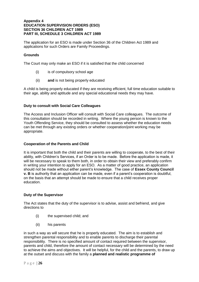#### **Appendix 4 EDUCATION SUPERVISION ORDERS (ESO) SECTION 36 CHILDREN ACT 1989 PART III, SCHEDULE 3 CHILDREN ACT 1989**

The application for an ESO is made under Section 36 of the Children Act 1989 and applications for such Orders are Family Proceedings.

#### **Grounds**

The Court may only make an ESO if it is satisfied that the child concerned

- (i) is of compulsory school age
- (ii) **and** is not being properly educated

A child is being properly educated if they are receiving efficient, full time education suitable to their age, ability and aptitude and any special educational needs they may have.

#### **Duty to consult with Social Care Colleagues**

The Access and Inclusion Officer will consult with Social Care colleagues. The outcome of this consultation should be recorded in writing. Where the young person is known to the Youth Offending Service, they should be consulted to assess whether the education needs can be met through any existing orders or whether cooperation/joint working may be appropriate.

#### **Cooperation of the Parents and Child**

It is important that both the child and their parents are willing to cooperate, to the best of their ability, with Children's Services, if an Order is to be made. Before the application is made, it will be necessary to speak to them both, in order to obtain their view and preferably confirm in writing your intention to apply for an ESO. As a matter of good practice, an application should not be made without either parent's knowledge. The case of **Essex County Council v. B** is authority that an application can be made, even if a parent's cooperation is doubtful, on the basis that an attempt should be made to ensure that a child receives proper education.

#### **Duty of the Supervisor**

The Act states that the duty of the supervisor is to advise, assist and befriend, and give directions to

- (i) the supervised child; and
- (ii) his parents

in such a way as will secure that he is properly educated. The aim is to establish and strengthen parental responsibility and to enable parents to discharge their parental responsibility. There is no specified amount of contact required between the supervisor, parents and child, therefore the amount of contact necessary will be determined by the need to achieve the aims and objectives. It will be helpful, for the child and the parents, to draw up at the outset and discuss with the family a **planned and realistic programme of**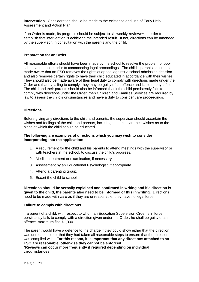**intervention**. Consideration should be made to the existence and use of Early Help Assessment and Action Plan.

If an Order is made, its progress should be subject to six weekly **reviews\***, in order to establish that intervention is achieving the intended result. If not, directions can be amended by the supervisor, in consultation with the parents and the child.

#### **Preparation for an Order**

All reasonable efforts should have been made by the school to resolve the problem of poor school attendance, prior to commencing legal proceedings. The child's parents should be made aware that an ESO removes the rights of appeal against a school admission decision and also removes certain rights to have their child educated in accordance with their wishes. They should also be made aware of their legal duty to comply with directions made under the Order and that by failing to comply, they may be guilty of an offence and liable to pay a fine. The child and their parents should also be informed that it the child persistently fails to comply with directions under the Order, then Children and Families Services are required by law to assess the child's circumstances and have a duty to consider care proceedings.

#### **Directions**

Before giving any directions to the child and parents, the supervisor should ascertain the wishes and feelings of the child and parents, including, in particular, their wishes as to the place at which the child should be educated.

#### **The following are examples of directions which you may wish to consider incorporating into the application:**

- 1. A requirement for the child and his parents to attend meetings with the supervisor or with teachers at the school, to discuss the child's progress.
- 2. Medical treatment or examination, if necessary.
- 3. Assessment by an Educational Psychologist, if appropriate.
- 4. Attend a parenting group.
- 5. Escort the child to school.

**Directions should be verbally explained and confirmed in writing and if a direction is given to the child, the parents also need to be informed of this in writing.** Directions need to be made with care as if they are unreasonable, they have no legal force.

#### **Failure to comply with directions**

If a parent of a child, with respect to whom an Education Supervision Order is in force, persistently fails to comply with a direction given under the Order, he shall be guilty of an offence, maximum fine £1,000.

The parent would have a defence to the charge if they could show either that the direction was unreasonable or that they had taken all reasonable steps to ensure that the direction was complied with. **For this reason, it is important that any directions attached to an ESO are reasonable, otherwise they cannot be enforced. \*Reviews can occur more frequently if required depending on individual circumstances**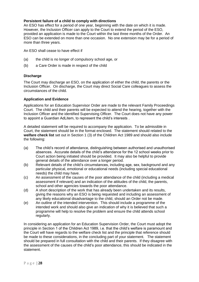#### **Persistent failure of a child to comply with directions**

An ESO has effect for a period of one year, beginning with the date on which it is made. However, the Inclusion Officer can apply to the Court to extend the period of the ESO, provided an application is made to the Court within the last three months of the Order. An ESO can be extended on more than one occasion. No one extension may be for a period of more than three years.

An ESO shall cease to have effect if

- (a) the child is no longer of compulsory school age, or
- (b) a Care Order is made in respect of the child

#### **Discharge**

The Court may discharge an ESO, on the application of either the child, the parents or the Inclusion Officer. On discharge, the Court may direct Social Care colleagues to assess the circumstances of the child.

#### **Application and Evidence**

Applications for an Education Supervisor Order are made to the relevant Family Proceedings Court. The child and their parents will be expected to attend the hearing, together with the Inclusion Officer and the identified Supervising Officer. The Court does not have any power to appoint a Guardian AdLitem, to represent the child's interests .

A detailed statement will be required to accompany the application. To be admissible in Court, the statement should be in the format enclosed. The statement should related to the **welfare check list** set out in Section 1 (3) of the Children Act 1989 and should also include the following:

- (a) The child's record of attendance, distinguishing between authorised and unauthorised absences. Accurate details of the child's attendance for the 12 school weeks prior to Court action being initiated should be provided. It may also be helpful to provide general details of the attendance over a longer period.
- (b) Relevant details of the child's circumstances, including age, sex, background and any particular physical, emotional or educational needs (including special educational needs) the child may have.
- (c) An assessment of the causes of the poor attendance of the child (including a medical assessment if relevant) and an indication of the attitudes of the child, the parents, school and other agencies towards the poor attendance.
- (d) A short description of the work that has already been undertaken and its results, giving the reasons why an ESO is being requested and including an assessment of any likely educational disadvantage to the child, should an Order not be made.
- (e) An outline of the intended intervention. This should include a programme of the intended work and should also give an indication of why it is believed that such a programme will help to resolve the problem and ensure the child attends school regularly.

In considering an application for an Education Supervision Order, the Court must adopt the principle in Section 1 of the Children Act 1989, i.e. that the child's welfare is paramount and the Court will have regards to the welfare check list and the principle that reference should be made to these considerations, in the concluding part of your statement. The statement should be prepared in full consultation with the child and their parents. If they disagree with the assessment of the causes of the child's poor attendance, this should be indicated in the statement.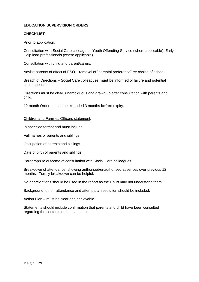## **EDUCATION SUPERVISION ORDERS**

#### **CHECKLIST**

#### Prior to application:

Consultation with Social Care colleagues, Youth Offending Service (where applicable), Early Help lead professionals (where applicable).

Consultation with child and parent/carers.

Advise parents of effect of ESO – removal of "parental preference" re: choice of school.

Breach of Directions – Social Care colleagues **must** be informed of failure and potential consequences.

Directions must be clear, unambiguous and drawn up after consultation with parents and child.

12 month Order but can be extended 3 months **before** expiry.

#### Children and Families Officers statement:

In specified format and must include:

Full names of parents and siblings.

Occupation of parents and siblings.

Date of birth of parents and siblings.

Paragraph re outcome of consultation with Social Care colleagues.

Breakdown of attendance, showing authorised/unauthorised absences over previous 12 months. Termly breakdown can be helpful.

No abbreviations should be used in the report as the Court may not understand them.

Background to non-attendance and attempts at resolution should be included.

Action Plan – must be clear and achievable.

Statements should include confirmation that parents and child have been consulted regarding the contents of the statement.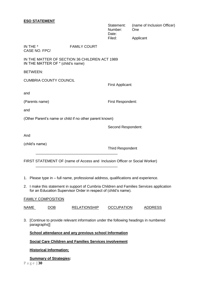#### **ESO STATEMENT**

Statement: (name of Inclusion Officer) Number: One Date: Filed: Applicant

IN THE \* FAMILY COURT CASE NO. FPC/

IN THE MATTER OF SECTION 36 CHILDREN ACT 1989 IN THE MATTER OF \* (child's name)

BETWEEN:

CUMBRIA COUNTY COUNCIL

and

(Parents name) First Respondent:

First Applicant:

and

(Other Parent's name or child if no other parent known)

\_\_\_\_\_\_\_\_\_\_\_\_\_\_\_\_\_\_\_\_\_\_\_\_\_\_\_\_\_\_\_\_\_\_\_\_\_\_\_\_

\_\_\_\_\_\_\_\_\_\_\_\_\_\_\_\_\_\_\_\_\_\_\_\_\_\_\_\_\_\_\_\_\_\_\_\_\_\_\_\_

Second Respondent:

And

(child's name)

Third Respondent

FIRST STATEMENT OF (name of Access and Inclusion Officer or Social Worker)

- 1. Please type in full name, professional address, qualifications and experience.
- 2. I make this statement in support of Cumbria Children and Families Services application for an Education Supervisor Order in respect of (child's name).

#### FAMILY COMPOSITION

NAME DOB RELATIONSHIP OCCUPATION ADDRESS

3. [Continue to provide relevant information under the following headings in numbered paragraphs]]

**School attendance and any previous school Information**

**Social Care Children and Families Services involvement**

**Historical Information;**

**Summary of Strategies:**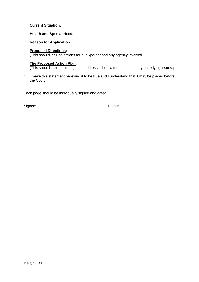## **Current Situation:**

#### **Health and Special Needs:**

#### **Reason for Application:**

#### **Proposed Directions:**

(This should include actions for pupil/parent and any agency involved.

#### **The Proposed Action Plan:**

(This should include strategies to address school attendance and any underlying issues.)

4. I make this statement believing it to be true and I understand that it may be placed before the Court

Each page should be individually signed and dated.

Signed: ………………………………………………. Dated: …………………………………..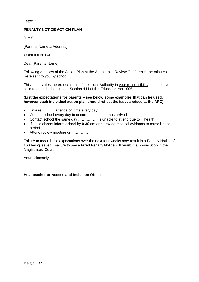Letter 3

#### **PENALTY NOTICE ACTION PLAN**

[Date]

[Parents Name & Address]

#### **CONFIDENTIAL**

Dear [Parents Name]

Following a review of the Action Plan at the Attendance Review Conference the minutes were sent to you by school.

This letter states the expectations of the Local Authority in your responsibility to enable your child to attend school under Section 444 of the Education Act 1996.

#### **(List the expectations for parents – see below some examples that can be used, however each individual action plan should reflect the issues raised at the ARC)**

- Ensure ………. attends on time every day
- Contact school every day to ensure ……………. has arrived
- Contact school the same day ……………. is unable to attend due to ill health
- If …..is absent inform school by 9.30 am and provide medical evidence to cover illness period
- Attend review meeting on ……………

Failure to meet these expectations over the next four weeks may result in a Penalty Notice of £60 being issued. Failure to pay a Fixed Penalty Notice will result in a prosecution in the Magistrates' Court.

Yours sincerely

## **Headteacher or Access and Inclusion Officer**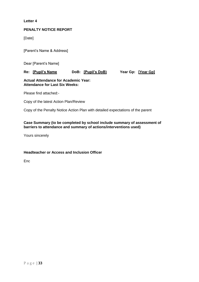#### **Letter 4**

#### **PENALTY NOTICE REPORT**

[Date]

[Parent's Name & Address]

Dear [Parent's Name]

## **Re: [Pupil's Name DoB: [Pupil's DoB) Year Gp: [Year Gp]**

#### **Actual Attendance for Academic Year: Attendance for Last Six Weeks:**

Please find attached:-

Copy of the latest Action Plan/Review

Copy of the Penalty Notice Action Plan with detailed expectations of the parent

#### **Case Summary (to be completed by school include summary of assessment of barriers to attendance and summary of actions/interventions used)**

Yours sincerely

## **Headteacher or Access and Inclusion Officer**

**Enc**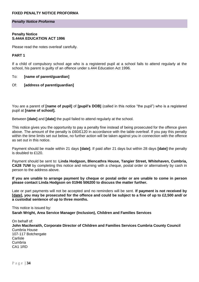#### **FIXED PENALTY NOTICE PROFORMA**

#### *Penalty Notice Proforma*

#### **Penalty Notice S.444A EDUCATION ACT 1996**

Please read the notes overleaf carefully.

#### **PART 1**

If a child of compulsory school age who is a registered pupil at a school fails to attend regularly at the school, his parent is guilty of an offence under s.444 Education Act 1996.

#### To: **[name of parent/guardian]**

Of: **[address of parent/guardian]**

You are a parent of **[name of pupil]** of **[pupil's DOB]** (called in this notice "the pupil") who is a registered pupil at **[name of school].**

Between **[date]** and **[date]** the pupil failed to attend regularly at the school.

This notice gives you the opportunity to pay a penalty fine instead of being prosecuted for the offence given above. The amount of the penalty is £60/£120 in accordance with the table overleaf. If you pay this penalty within the time limits set out below, no further action will be taken against you in connection with the offence as set out in this notice.

Payment should be made within 21 days **[date]**. If paid after 21 days but within 28 days **[date]** the penalty is doubled to £120.

Payment should be sent to: **Linda Hodgson, Blencathra House, Tangier Street, Whitehaven, Cumbria, CA28 7UW** by completing this notice and returning with a cheque, postal order or alternatively by cash in person to the address above.

**If you are unable to arrange payment by cheque or postal order or are unable to come in person please contact Linda Hodgson on 01946 506200 to discuss the matter further.**

Late or part payments will not be accepted and no reminders will be sent. **If payment is not received by [date], you may be prosecuted for the offence and could be subject to a fine of up to £2,500 and/ or a custodial sentence of up to three months.**

This notice is issued by:

**Sarah Wright, Area Service Manager (Inclusion), Children and Families Services**

On behalf of: **John Macilwraith, Corporate Director of Children and Families Services Cumbria County Council** Cumbria House 107-117 Botchergate Carlisle Cumbria CA1 1RD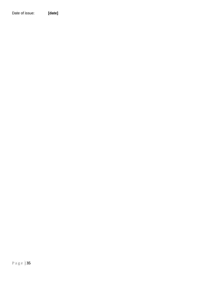Date of issue: **[date]**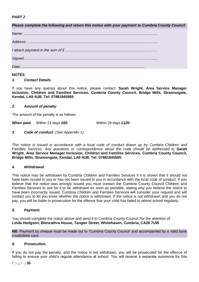## *PART 2*

*Please complete the following and return this notice with your payment to Cumbria County Council Name: ................................................................................................................................... Address: .........................................................................................................................…... I attach payment in the sum of £ ..................................................................................……. Signed:.................................................................................................................................. Date: .........................................................................................................................*

## **NOTES**

## *1. Contact Details*

If you have any queries about this notice, please contact: **Sarah Wright, Area Service Manager Inclusion, Children and Families Services, Cumbria County Council, Bridge Mills, Stramongate, Kendal, LA9 4UB. Tel: 07881845565**

## *2. Amount of penalty*

The amount of the penalty is as follows:

**When paid** Within 21 days **£60** Within 28 days **£120**

## *3. Code of conduct. (See Appendix 1)*

*This notice is issued in accordance with a local code of conduct drawn up by Cumbria Children and Families Services. Any questions or correspondence about the code should be addressed to* **Sarah Wright, Area Service Manager Inclusion, Children and Families Services, Cumbria County Council, Bridge Mills, Stramongate, Kendal, LA9 4UB. Tel: 07881845565**

## *4. Withdrawal.*

This notice may be withdrawn by Cumbria Children and Families Services if it is shown that it should not have been issued to you or has not been issued to you in accordance with the local code of conduct. If you believe that the notice was wrongly issued you must contact the Cumbria County Council Children and Families Services to ask for it to be withdrawn as soon as possible, stating why you believe the notice to have been incorrectly issued. Cumbria Children and Families Services will consider your request and will contact you to let you know whether the notice is withdrawn. If the notice is not withdrawn and you do not pay, you will be liable to prosecution for the offence that your child has failed to attend school regularly.

## *5. Payment.*

You should complete the notice above and send it to Cumbria County Council, for the attention of: **Linda Hodgson, Blencathra House, Tangier Street, Whitehaven, Cumbria, CA28 7UW** 

**NB**: Payment by cheque must be made out to 'Cumbria County Council' and accompanied by a valid bank credit/debit card.

## *6. Prosecution.*

If you do not pay the penalty, and the notice is not withdrawn, you will be prosecuted for the offence of failing to ensure your child's regular attendance at school. You will receive a separate summons for this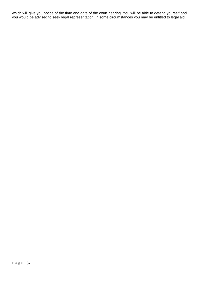which will give you notice of the time and date of the court hearing. You will be able to defend yourself and you would be advised to seek legal representation; in some circumstances you may be entitled to legal aid.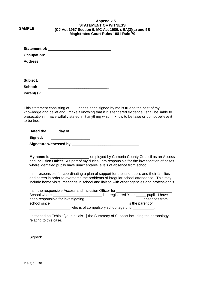| <b>SAMPLE</b>                     | <b>Appendix 5</b><br><b>STATEMENT OF WITNESS</b><br>(CJ Act 1967 Section 9, MC Act 1980, s 5A(3)(a) and 5B<br><b>Magistrates Court Rules 1981 Rule 70</b> |  |  |  |  |  |
|-----------------------------------|-----------------------------------------------------------------------------------------------------------------------------------------------------------|--|--|--|--|--|
| Address:                          |                                                                                                                                                           |  |  |  |  |  |
| Subject:<br>School:<br>Parent(s): |                                                                                                                                                           |  |  |  |  |  |

This statement consisting of pages each signed by me is true to the best of my knowledge and belief and I make it knowing that if it is tendered evidence I shall be liable to prosecution if I have wilfully stated in it anything which I know to be false or do not believe it to be true.

**Dated the** \_\_\_\_\_ **day of** \_\_\_\_\_\_

Signed:

**Signature witnessed by** \_\_\_\_\_\_\_\_\_\_\_\_\_\_\_\_\_\_\_\_\_\_\_\_\_\_\_\_\_\_\_\_\_

**My name is** \_\_\_\_\_\_\_\_\_\_\_\_\_\_\_\_\_\_\_ employed by Cumbria County Council as an Access and Inclusion Officer. As part of my duties I am responsible for the investigation of cases where identified pupils have unacceptable levels of absence from school.

I am responsible for coordinating a plan of support for the said pupils and their families and carers in order to overcome the problems of irregular school attendance. This may include home visits, meetings in school and liaison with other agencies and professionals.

| I am the responsible Access and Inclusion Officer for |                                       |                  |
|-------------------------------------------------------|---------------------------------------|------------------|
| School where                                          | is a registered Year                  | pupil. I have    |
| been responsible for investigating                    |                                       | absences from    |
| school since                                          |                                       | is the parent of |
|                                                       | who is of compulsory school age until |                  |

I attached as Exhibit [your initials 1] the Summary of Support including the chronology relating to this case.

Signed:  $\Box$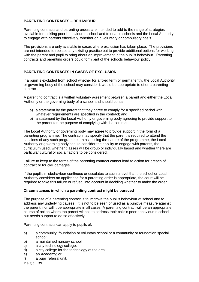## **PARENTING CONTRACTS – BEHAVIOUR**

Parenting contracts and parenting orders are intended to add to the range of strategies available for tackling poor behaviour in school and to enable schools and the Local Authority to engage with parents effectively, whether on a voluntary or compulsory basis.

The provisions are only available in cases where exclusion has taken place. The provisions are not intended to replace any existing practice but to provide additional options for working with the parent and pupil to bring about an improvement in the pupil's behaviour. Parenting contracts and parenting orders could form part of the schools behaviour policy.

## **PARENTING CONTRACTS IN CASES OF EXCLUSION**

If a pupil is excluded from school whether for a fixed term or permanently, the Local Authority or governing body of the school may consider it would be appropriate to offer a parenting contract.

A parenting contract is a written voluntary agreement between a parent and either the Local Authority or the governing body of a school and should contain:

- a) a statement by the parent that they agree to comply for a specified period with whatever requirements are specified in the contract; and
- b) a statement by the Local Authority or governing body agreeing to provide support to the parent for the purpose of complying with the contract.

The Local Authority or governing body may agree to provide support in the form of a parenting programme. The contract may specify that the parent is required to attend the sessions of any such programme. In assessing the nature of the programme, the Local Authority or governing body should consider their ability to engage with parents, the curriculum used, whether classes will be group or individually based and whether there are particular cultural or social factors to be considered.

Failure to keep to the terms of the parenting contract cannot lead to action for breach of contract or for civil damages.

If the pupil's misbehaviour continues or escalates to such a level that the school or Local Authority considers an application for a parenting order is appropriate, the court will be required to take this failure or refusal into account in deciding whether to make the order.

#### **Circumstances in which a parenting contract might be pursued**

The purpose of a parenting contact is to improve the pupil's behaviour at school and to address any underlying causes. It is not to be seen or used as a punitive measure against the parent, nor will it be appropriate in all cases. A parenting contract will be an appropriate course of action where the parent wishes to address their child's poor behaviour in school but needs support to do so effectively.

Parenting contracts can apply to pupils of:

- a) a community, foundation or voluntary school or a community or foundation special school;
- b) a maintained nursery school;
- c) a city technology college;
- d) a city college for the technology of the arts;
- e) an Academy; or
- f) a pupil referral unit.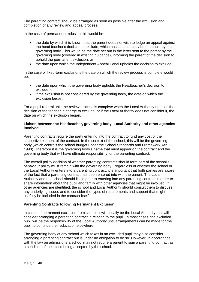The parenting contract should be arranged as soon as possible after the exclusion and completion of any review and appeal process.

In the case of permanent exclusion this would be:

- the date by which it is known that the parent does not wish to lodge an appeal against the head teacher's decision to exclude, which has subsequently been upheld by the governing body. This would be the date set out in the letter sent to the parent by the governing body (covered in existing guidance), informing the parent of the decision to uphold the permanent exclusion; or
- the date upon which the Independent Appeal Panel upholds the decision to exclude.

In the case of fixed-term exclusions the date on which the review process is complete would be:

- the date upon which the governing body upholds the Headteacher's decision to exclude; or
- if the exclusion is not considered by the governing body, the date on which the exclusion began.

For a pupil referral unit, the review process is complete when the Local Authority upholds the decision of the teacher in charge to exclude; or if the Local Authority does not consider it, the date on which the exclusion began.

#### **Liaison between the Headteacher, governing body, Local Authority and other agencies involved**

Parenting contracts require the party entering into the contract to fund any cost of the supportive element of the contract. In the context of the school, this will be the governing body (which controls the school budget under the School Standards and Framework Act 1998). Therefore it is the governing body's name that must appear on the contract and the governing body that will have ultimate responsibility for the parenting contract.

The overall policy decision of whether parenting contracts should form part of the school's behaviour policy must remain with the governing body. Regardless of whether the school or the Local Authority enters into a parenting contract, it is important that both parties are aware of the fact that a parenting contract has been entered into with the parent. The Local Authority and the school should liaise prior to entering into any parenting contract in order to share information about the pupil and family with other agencies that might be involved. If other agencies are identified, the school and Local Authority should consult them to discuss any underlying issues and to consider the types of requirements and support that might usefully be included in the contract itself.

#### **Parenting Contracts following Permanent Exclusion**

In cases of permanent exclusion from school, it will usually be the Local Authority that will consider arranging a parenting contract in relation to the pupil. In most cases, the excluded pupil will be the responsibility of the Local Authority until arrangements can be made for the pupil to continue their education elsewhere.

The governing body of any school which takes in an excluded pupil may also consider arranging a parenting contract but is under no obligation to do so. However, in accordance with the law on admissions a school may not require a parent to sign a parenting contract as a condition of their child being accepted by the school.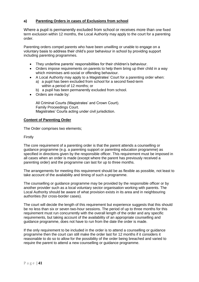## **a) Parenting Orders in cases of Exclusions from school**

Where a pupil is permanently excluded from school or receives more than one fixed term exclusion within 12 months, the Local Authority may apply to the court for a parenting order.

Parenting orders compel parents who have been unwilling or unable to engage on a voluntary basis to address their child's poor behaviour in school by providing support including parenting programmes.

- They underline parents' responsibilities for their children's behaviour.
- Orders impose requirements on parents to help them bring up their child in a way which minimises anti-social or offending behaviour.
- A Local Authority may apply to a Magistrates' Court for a parenting order when:
	- a) a pupil has been excluded from school for a second fixed-term within a period of 12 months; or
	- b) a pupil has been permanently excluded from school.
- Orders are made by:

All Criminal Courts (Magistrates' and Crown Court). Family Proceedings Court. Magistrates' Courts acting under civil jurisdiction.

#### **Content of Parenting Order**

The Order comprises two elements;

Firstly

The core requirement of a parenting order is that the parent attends a counselling or guidance programme (e.g. a parenting support or parenting education programme) as specified in directions given by the responsible officer. This requirement must be imposed in all cases when an order is made (except where the parent has previously received a parenting order) and the programme can last for up to three months.

The arrangements for meeting this requirement should be as flexible as possible, not least to take account of the availability and timing of such a programme.

The counselling or guidance programme may be provided by the responsible officer or by another provider such as a local voluntary sector organisation working with parents. The Local Authority should be aware of what provision exists in its area and in neighbouring authorities (for cross-border cases).

The court will decide the length of this requirement but experience suggests that this should be no less than six or seven two-hour sessions. The period of up to three months for this requirement must run concurrently with the overall length of the order and any specific requirements, but taking account of the availability of an appropriate counselling and guidance programme, does not have to run from the date the order is made.

If the only requirement to be included in the order is to attend a counselling or guidance programme then the court can still make the order last for 12 months if it considers it reasonable to do so to allow for the possibility of the order being breached and varied to require the parent to attend a new counselling or guidance programme.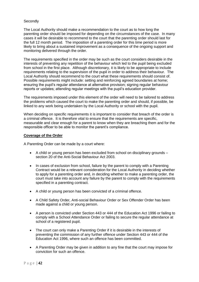#### **Secondly**

The Local Authority should make a recommendation to the court as to how long the parenting order should be imposed for depending on the circumstances of the case. In many cases it will be desirable to recommend to the court that the parenting order should last for the full 12 month period. The imposition of a parenting order for this time period is more likely to bring about a sustained improvement as a consequence of the ongoing support and monitoring delivered through the order.

The requirements specified in the order may be such as the court considers desirable in the interests of preventing any repetition of the behaviour which led to the pupil being excluded from school in the first place. Although discretionary, it is likely to be appropriate to include requirements relating to the supervision of the pupil in order to address their behaviour. The Local Authority should recommend to the court what these requirements should consist of. Possible requirements might include: setting and reinforcing agreed boundaries at home; ensuring the pupil's regular attendance at alternative provision; signing regular behaviour reports or updates; attending regular meetings with the pupil's education provider.

The requirements imposed under this element of the order will need to be tailored to address the problems which caused the court to make the parenting order and should, if possible, be linked to any work being undertaken by the Local Authority or school with the pupil.

When deciding on specific requirements it is important to consider that breach of the order is a criminal offence. It is therefore vital to ensure that the requirements are specific, measurable and clear enough for a parent to know when they are breaching them and for the responsible officer to be able to monitor the parent's compliance.

#### **Coverage of the Order**

A Parenting Order can be made by a court where:

- A child or young person has been excluded from school on disciplinary grounds section 20 of the Anti-Social Behaviour Act 2003.
- In cases of exclusion from school, failure by the parent to comply with a Parenting Contract would be a relevant consideration for the Local Authority in deciding whether to apply for a parenting order and, in deciding whether to make a parenting order, the court must take into account any failure by the parent to comply with the requirements specified in a parenting contract.
- A child or young person has been convicted of a criminal offence.
- A Child Safety Order, Anti-social Behaviour Order or Sex Offender Order has been made against a child or young person.
- A person is convicted under Section 443 or 444 of the Education Act 1996 or failing to comply with a School Attendance Order or failing to secure the regular attendance at school of a registered pupil.
- The court can only make a Parenting Order if it is desirable in the interests of preventing the commission of any further offence under Section 443 or 444 of the Education Act 1996, where such an offence has been committed.
- A Parenting Order may be given in addition to any fine that the court may impose for conviction for such an offence.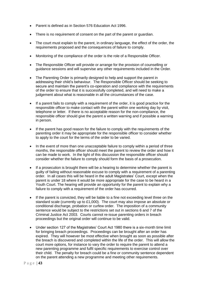- Parent is defined as in Section 576 Education Act 1996.
- There is no requirement of consent on the part of the parent or guardian.
- The court must explain to the parent, in ordinary language, the effect of the order, the requirements proposed and the consequences of failure to comply.
- Monitoring of the compliance of the order is the role of a Responsible Officer.
- The Responsible Officer will provide or arrange for the provision of counselling or guidance sessions and will supervise any other requirements included in the Order.
- The Parenting Order is primarily designed to help and support the parent in addressing their child's behaviour. The Responsible Officer should be seeking to secure and maintain the parent's co-operation and compliance with the requirements of the order to ensure that it is successfully completed, and will need to make a judgement about what is reasonable in all the circumstances of the case.
- If a parent fails to comply with a requirement of the order, it is good practice for the responsible officer to make contact with the parent within one working day by visit, telephone or letter. If there is no acceptable reason for the non-compliance, the responsible officer should give the parent a written warning and if possible a warning in person.
- If the parent has good reason for the failure to comply with the requirements of the parenting order it may be appropriate for the responsible officer to consider whether to apply to the court for the terms of the order to be varied.
- In the event of more than one unacceptable failure to comply within a period of three months, the responsible officer should meet the parent to review the order and how it can be made to work. In the light of this discussion the responsible officer should consider whether the failure to comply should form the basis of a prosecution.
- If a prosecution is brought there will be a hearing to determine whether the parent is guilty of failing without reasonable excuse to comply with a requirement of a parenting order. In all cases this will be heard in the adult Magistrates' Court, except when the parent is under 18 where it would be more appropriate for the case to be heard in a Youth Court. The hearing will provide an opportunity for the parent to explain why a failure to comply with a requirement of the order has occurred.
- If the parent is convicted, they will be liable to a fine not exceeding level three on the standard scale (currently up to £1,000). The court may also impose an absolute or conditional discharge, probation or curfew order. The imposition of a community sentence would be subject to the restrictions set out in sections 6 and 7 of the Criminal Justice Act 2003. Courts cannot re-issue parenting orders in breach proceedings but the original order will continue to be valid.
- Under section 127 of the Magistrates' Court Act 1980 there is a six-month time limit for bringing breach proceedings. Proceedings can be brought after an order has expired. They will however be most effective when brought as soon as possible after the breach is discovered and completed within the life of the order. This will allow the court more options, for instance to vary the order to require the parent to attend a new parenting programme and fulfil specific requirements to exercise control over their child. The penalty for breach could be a fine or community sentence dependent on the parent attending a new programme and meeting other requirements.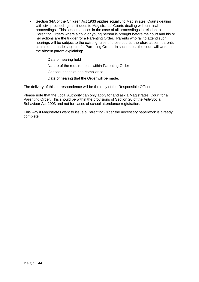• Section 34A of the Children Act 1933 applies equally to Magistrates' Courts dealing with civil proceedings as it does to Magistrates' Courts dealing with criminal proceedings. This section applies in the case of all proceedings in relation to Parenting Orders where a child or young person is brought before the court and his or her actions are the trigger for a Parenting Order. Parents who fail to attend such hearings will be subject to the existing rules of those courts, therefore absent parents can also be made subject of a Parenting Order. In such cases the court will write to the absent parent explaining:

Date of hearing held

Nature of the requirements within Parenting Order

Consequences of non-compliance

Date of hearing that the Order will be made.

The delivery of this correspondence will be the duty of the Responsible Officer.

Please note that the Local Authority can only apply for and ask a Magistrates' Court for a Parenting Order. This should be within the provisions of Section 20 of the Anti-Social Behaviour Act 2003 and not for cases of school attendance registration.

This way if Magistrates want to issue a Parenting Order the necessary paperwork is already complete.